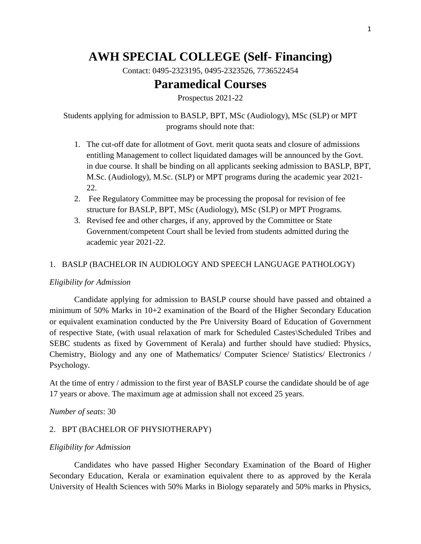# **AWH SPECIAL COLLEGE (Self- Financing)**

Contact: 0495-2323195, 0495-2323526, 7736522454

# **Paramedical Courses**

Prospectus 2021-22

Students applying for admission to BASLP, BPT, MSc (Audiology), MSc (SLP) or MPT programs should note that:

- 1. The cut-off date for allotment of Govt. merit quota seats and closure of admissions entitling Management to collect liquidated damages will be announced by the Govt. in due course. It shall be binding on all applicants seeking admission to BASLP, BPT, M.Sc. (Audiology), M.Sc. (SLP) or MPT programs during the academic year 2021- 22.
- 2. Fee Regulatory Committee may be processing the proposal for revision of fee structure for BASLP, BPT, MSc (Audiology), MSc (SLP) or MPT Programs.
- 3. Revised fee and other charges, if any, approved by the Committee or State Government/competent Court shall be levied from students admitted during the academic year 2021-22.

### 1. BASLP (BACHELOR IN AUDIOLOGY AND SPEECH LANGUAGE PATHOLOGY)

#### *Eligibility for Admission*

Candidate applying for admission to BASLP course should have passed and obtained a minimum of 50% Marks in 10+2 examination of the Board of the Higher Secondary Education or equivalent examination conducted by the Pre University Board of Education of Government of respective State, (with usual relaxation of mark for Scheduled Castes\Scheduled Tribes and SEBC students as fixed by Government of Kerala) and further should have studied: Physics, Chemistry, Biology and any one of Mathematics/ Computer Science/ Statistics/ Electronics / Psychology.

At the time of entry / admission to the first year of BASLP course the candidate should be of age 17 years or above. The maximum age at admission shall not exceed 25 years.

*Number of seats*: 30

#### 2. BPT (BACHELOR OF PHYSIOTHERAPY)

#### *Eligibility for Admission*

Candidates who have passed Higher Secondary Examination of the Board of Higher Secondary Education, Kerala or examination equivalent there to as approved by the Kerala University of Health Sciences with 50% Marks in Biology separately and 50% marks in Physics,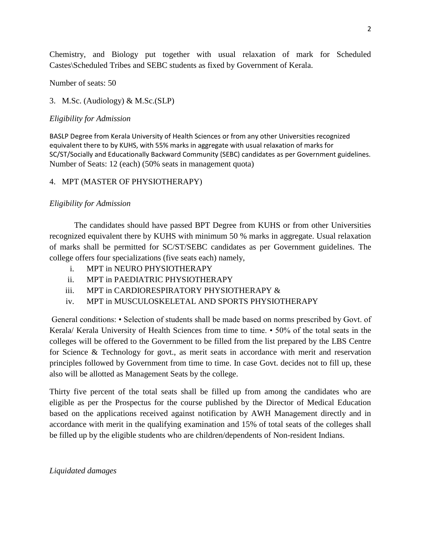Chemistry, and Biology put together with usual relaxation of mark for Scheduled Castes\Scheduled Tribes and SEBC students as fixed by Government of Kerala.

Number of seats: 50

# 3. M.Sc. (Audiology) & M.Sc.(SLP)

# *Eligibility for Admission*

BASLP Degree from Kerala University of Health Sciences or from any other Universities recognized equivalent there to by KUHS, with 55% marks in aggregate with usual relaxation of marks for SC/ST/Socially and Educationally Backward Community (SEBC) candidates as per Government guidelines. Number of Seats: 12 (each) (50% seats in management quota)

# 4. MPT (MASTER OF PHYSIOTHERAPY)

# *Eligibility for Admission*

The candidates should have passed BPT Degree from KUHS or from other Universities recognized equivalent there by KUHS with minimum 50 % marks in aggregate. Usual relaxation of marks shall be permitted for SC/ST/SEBC candidates as per Government guidelines. The college offers four specializations (five seats each) namely,

- i. MPT in NEURO PHYSIOTHERAPY
- ii. MPT in PAEDIATRIC PHYSIOTHERAPY
- iii. MPT in CARDIORESPIRATORY PHYSIOTHERAPY &
- iv. MPT in MUSCULOSKELETAL AND SPORTS PHYSIOTHERAPY

General conditions: • Selection of students shall be made based on norms prescribed by Govt. of Kerala/ Kerala University of Health Sciences from time to time. • 50% of the total seats in the colleges will be offered to the Government to be filled from the list prepared by the LBS Centre for Science & Technology for govt., as merit seats in accordance with merit and reservation principles followed by Government from time to time. In case Govt. decides not to fill up, these also will be allotted as Management Seats by the college.

Thirty five percent of the total seats shall be filled up from among the candidates who are eligible as per the Prospectus for the course published by the Director of Medical Education based on the applications received against notification by AWH Management directly and in accordance with merit in the qualifying examination and 15% of total seats of the colleges shall be filled up by the eligible students who are children/dependents of Non-resident Indians.

# *Liquidated damages*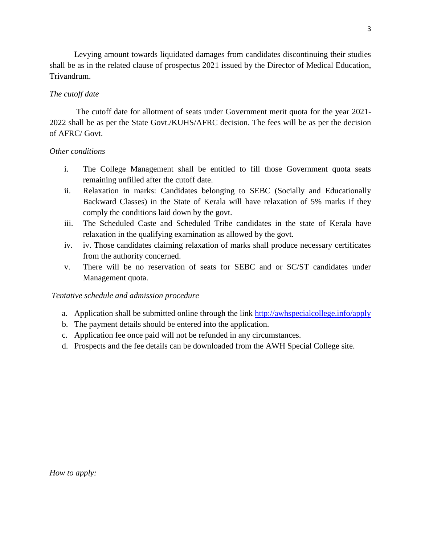Levying amount towards liquidated damages from candidates discontinuing their studies shall be as in the related clause of prospectus 2021 issued by the Director of Medical Education, Trivandrum.

### *The cutoff date*

The cutoff date for allotment of seats under Government merit quota for the year 2021- 2022 shall be as per the State Govt./KUHS/AFRC decision. The fees will be as per the decision of AFRC/ Govt.

#### *Other conditions*

- i. The College Management shall be entitled to fill those Government quota seats remaining unfilled after the cutoff date.
- ii. Relaxation in marks: Candidates belonging to SEBC (Socially and Educationally Backward Classes) in the State of Kerala will have relaxation of 5% marks if they comply the conditions laid down by the govt.
- iii. The Scheduled Caste and Scheduled Tribe candidates in the state of Kerala have relaxation in the qualifying examination as allowed by the govt.
- iv. iv. Those candidates claiming relaxation of marks shall produce necessary certificates from the authority concerned.
- v. There will be no reservation of seats for SEBC and or SC/ST candidates under Management quota.

#### *Tentative schedule and admission procedure*

- a. Application shall be submitted online through the link<http://awhspecialcollege.info/apply>
- b. The payment details should be entered into the application.
- c. Application fee once paid will not be refunded in any circumstances.
- d. Prospects and the fee details can be downloaded from the AWH Special College site.

*How to apply:*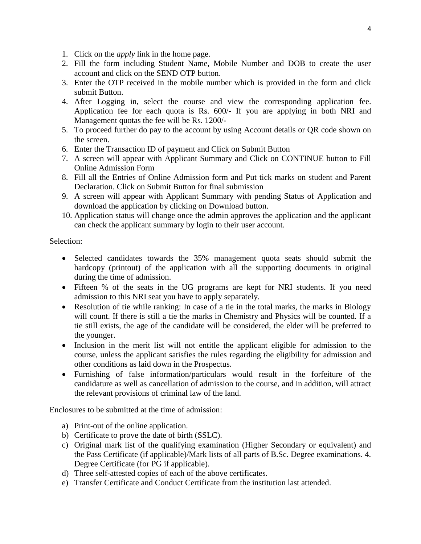- 1. Click on the *apply* link in the home page.
- 2. Fill the form including Student Name, Mobile Number and DOB to create the user account and click on the SEND OTP button.
- 3. Enter the OTP received in the mobile number which is provided in the form and click submit Button.
- 4. After Logging in, select the course and view the corresponding application fee. Application fee for each quota is Rs. 600/- If you are applying in both NRI and Management quotas the fee will be Rs. 1200/-
- 5. To proceed further do pay to the account by using Account details or QR code shown on the screen.
- 6. Enter the Transaction ID of payment and Click on Submit Button
- 7. A screen will appear with Applicant Summary and Click on CONTINUE button to Fill Online Admission Form
- 8. Fill all the Entries of Online Admission form and Put tick marks on student and Parent Declaration. Click on Submit Button for final submission
- 9. A screen will appear with Applicant Summary with pending Status of Application and download the application by clicking on Download button.
- 10. Application status will change once the admin approves the application and the applicant can check the applicant summary by login to their user account.

Selection:

- Selected candidates towards the 35% management quota seats should submit the hardcopy (printout) of the application with all the supporting documents in original during the time of admission.
- Fifteen % of the seats in the UG programs are kept for NRI students. If you need admission to this NRI seat you have to apply separately.
- Resolution of tie while ranking: In case of a tie in the total marks, the marks in Biology will count. If there is still a tie the marks in Chemistry and Physics will be counted. If a tie still exists, the age of the candidate will be considered, the elder will be preferred to the younger.
- Inclusion in the merit list will not entitle the applicant eligible for admission to the course, unless the applicant satisfies the rules regarding the eligibility for admission and other conditions as laid down in the Prospectus.
- Furnishing of false information/particulars would result in the forfeiture of the candidature as well as cancellation of admission to the course, and in addition, will attract the relevant provisions of criminal law of the land.

Enclosures to be submitted at the time of admission:

- a) Print-out of the online application.
- b) Certificate to prove the date of birth (SSLC).
- c) Original mark list of the qualifying examination (Higher Secondary or equivalent) and the Pass Certificate (if applicable)/Mark lists of all parts of B.Sc. Degree examinations. 4. Degree Certificate (for PG if applicable).
- d) Three self-attested copies of each of the above certificates.
- e) Transfer Certificate and Conduct Certificate from the institution last attended.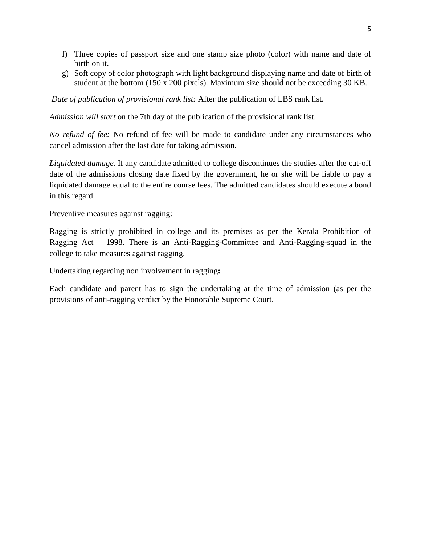- f) Three copies of passport size and one stamp size photo (color) with name and date of birth on it.
- g) Soft copy of color photograph with light background displaying name and date of birth of student at the bottom (150 x 200 pixels). Maximum size should not be exceeding 30 KB.

*Date of publication of provisional rank list:* After the publication of LBS rank list.

*Admission will start* on the 7th day of the publication of the provisional rank list.

*No refund of fee:* No refund of fee will be made to candidate under any circumstances who cancel admission after the last date for taking admission.

*Liquidated damage.* If any candidate admitted to college discontinues the studies after the cut-off date of the admissions closing date fixed by the government, he or she will be liable to pay a liquidated damage equal to the entire course fees. The admitted candidates should execute a bond in this regard.

Preventive measures against ragging:

Ragging is strictly prohibited in college and its premises as per the Kerala Prohibition of Ragging Act – 1998. There is an Anti-Ragging-Committee and Anti-Ragging-squad in the college to take measures against ragging.

Undertaking regarding non involvement in ragging**:**

Each candidate and parent has to sign the undertaking at the time of admission (as per the provisions of anti-ragging verdict by the Honorable Supreme Court.